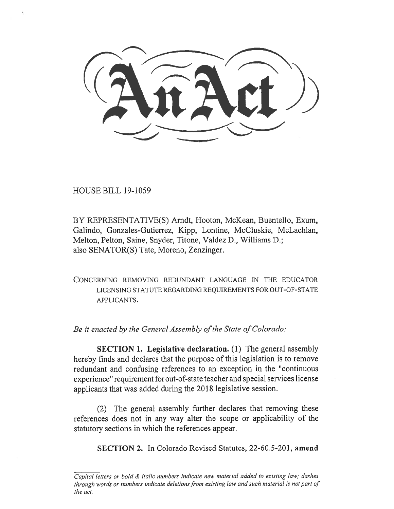HOUSE BILL 19-1059

BY REPRESENTATIVE(S) Arndt, Hooton, McKean, Buentello, Exum, Galindo, Gonzales-Gutierrez, Kipp, Lontine, McCluskie, McLachlan, Melton, Pelton, Saine, Snyder, Titone, Valdez D., Williams D.; also SENATOR(S) Tate, Moreno, Zenzinger.

CONCERNING REMOVING REDUNDANT LANGUAGE IN THE EDUCATOR LICENSING STATUTE REGARDING REQUIREMENTS FOR OUT-OF-STATE APPLICANTS.

*Be it enacted by the General Assembly of the State of Colorado:* 

**SECTION 1. Legislative declaration.** (1) The general assembly hereby finds and declares that the purpose of this legislation is to remove redundant and confusing references to an exception in the "continuous experience" requirement for out-of-state teacher and special services license applicants that was added during the 2018 legislative session.

(2) The general assembly further declares that removing these references does not in any way alter the scope or applicability of the statutory sections in which the references appear.

**SECTION 2.** In Colorado Revised Statutes, 22-60.5-201, **amend** 

*Capital letters or bold & italic numbers indicate new material added to existing law; dashes through words or numbers indicate deletions from existing law and such material is not part of the act.*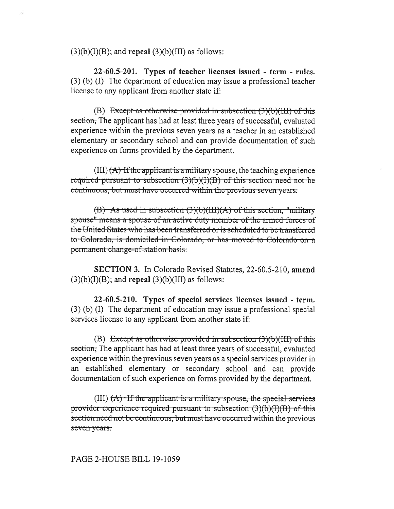$(3)(b)(I)(B)$ ; and **repeal**  $(3)(b)(III)$  as follows:

**22-60.5-201. Types of teacher licenses issued - term - rules.**  (3) (b) (I) The department of education may issue a professional teacher license to any applicant from another state if:

(B) Except as otherwise provided in subsection  $(3)(b)(III)$  of this section, The applicant has had at least three years of successful, evaluated experience within the previous seven years as a teacher in an established elementary or secondary school and can provide documentation of such experience on forms provided by the department.

 $(III)$   $(A)$ -If the applicant is a military spouse, the teaching experience required-pursuant to subsection  $(3)(b)(I)(B)$  of this-section need not be continuous, but must have occurred within the previous seven years.

 $(B)$  As used in subsection  $(3)(b)(III)(A)$  of this section, "military spouse" means a spouse of an active duty member of the armed-forces of the United States who has been transferred or is scheduled to be transferred to Colorado, is domiciled in Colorado, or has moved to Colorado on a permanent change-of-station basis.

**SECTION 3.** In Colorado Revised Statutes, 22-60.5-210, **amend**   $(3)(b)(I)(B)$ ; and **repeal**  $(3)(b)(III)$  as follows:

**22-60.5-210. Types of special services licenses issued - term.**  (3) (b) (I) The department of education may issue a professional special services license to any applicant from another state if:

(B) Except as otherwise provided in subsection  $(3)(b)(III)$  of this section, The applicant has had at least three years of successful, evaluated experience within the previous seven years as a special services provider in an established elementary or secondary school and can provide documentation of such experience on forms provided by the department.

 $(III)$   $(A)$  If the applicant is a military spouse, the special services provider-experience-required-pursuant-to-subsection  $(3)(b)(I)(B)$  of this section need not be continuous, but must have occurred within the previous seven years.